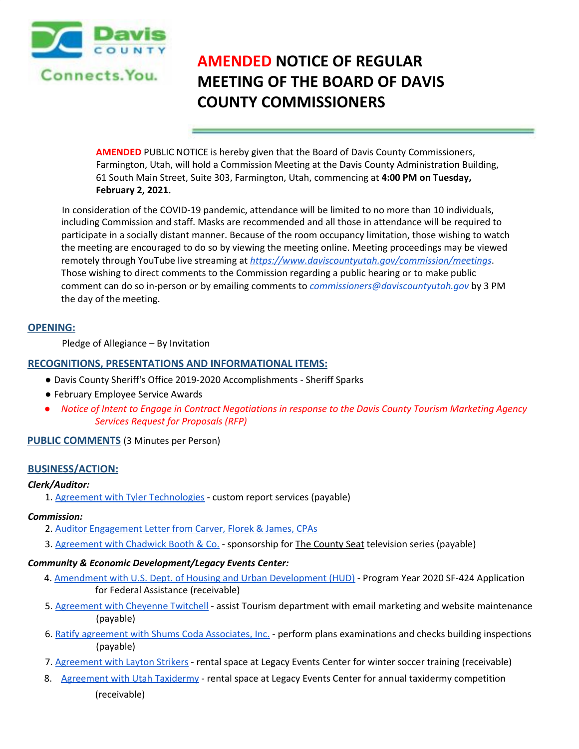

# **AMENDED NOTICE OF REGULAR MEETING OF THE BOARD OF DAVIS COUNTY COMMISSIONERS**

**AMENDED** PUBLIC NOTICE is hereby given that the Board of Davis County Commissioners, Farmington, Utah, will hold a Commission Meeting at the Davis County Administration Building, 61 South Main Street, Suite 303, Farmington, Utah, commencing at **4:00 PM on Tuesday, February 2, 2021.**

In consideration of the COVID-19 pandemic, attendance will be limited to no more than 10 individuals, including Commission and staff. Masks are recommended and all those in attendance will be required to participate in a socially distant manner. Because of the room occupancy limitation, those wishing to watch the meeting are encouraged to do so by viewing the meeting online. Meeting proceedings may be viewed remotely through YouTube live streaming at *https://www.daviscountyutah.gov/commission/meetings*. Those wishing to direct comments to the Commission regarding a public hearing or to make public comment can do so in-person or by emailing comments to *commissioners@daviscountyutah.gov* by 3 PM the day of the meeting.

## **OPENING:**

Pledge of Allegiance – By Invitation

## **RECOGNITIONS, PRESENTATIONS AND INFORMATIONAL ITEMS:**

- Davis County Sheriff's Office 2019-2020 Accomplishments Sheriff Sparks
- February Employee Service Awards
- Notice of Intent to Engage in Contract Negotiations in response to the Davis County Tourism Marketing Agency *Services Request for Proposals (RFP)*

## **PUBLIC COMMENTS** (3 Minutes per Person)

## **BUSINESS/ACTION:**

## *Clerk/Auditor:*

1. Agreement with Tyler Technologies - custom report services (payable)

## *Commission:*

- 2. Auditor Engagement Letter from Carver, Florek & James, CPAs
- 3. Agreement with Chadwick Booth & Co. sponsorship for The County Seat television series (payable)

#### *Community & Economic Development/Legacy Events Center:*

- 4. Amendment with U.S. Dept. of Housing and Urban Development (HUD) Program Year 2020 SF-424 Application for Federal Assistance (receivable)
- 5. Agreement with Cheyenne Twitchell assist Tourism department with email marketing and website maintenance (payable)
- 6. Ratify agreement with Shums Coda Associates, Inc. perform plans examinations and checks building inspections (payable)
- 7. Agreement with Layton Strikers rental space at Legacy Events Center for winter soccer training (receivable)
- 8. Agreement with Utah Taxidermy rental space at Legacy Events Center for annual taxidermy competition (receivable)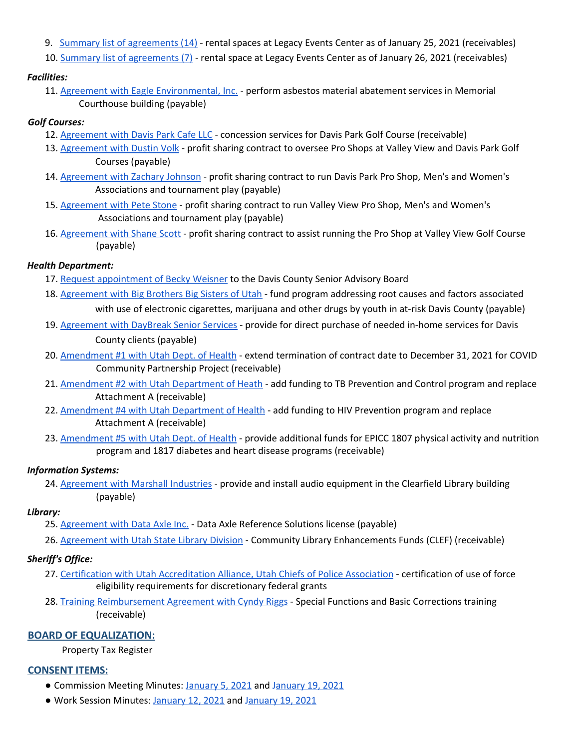- 9. Summary list of agreements (14) rental spaces at Legacy Events Center as of January 25, 2021 (receivables)
- 10. Summary list of agreements (7) rental space at Legacy Events Center as of January 26, 2021 (receivables)

# *Facilities:*

11. Agreement with Eagle Environmental, Inc. - perform asbestos material abatement services in Memorial Courthouse building (payable)

# *Golf Courses:*

- 12. Agreement with Davis Park Cafe LLC concession services for Davis Park Golf Course (receivable)
- 13. Agreement with Dustin Volk profit sharing contract to oversee Pro Shops at Valley View and Davis Park Golf Courses (payable)
- 14. Agreement with Zachary Johnson profit sharing contract to run Davis Park Pro Shop, Men's and Women's Associations and tournament play (payable)
- 15. Agreement with Pete Stone profit sharing contract to run Valley View Pro Shop, Men's and Women's Associations and tournament play (payable)
- 16. Agreement with Shane Scott profit sharing contract to assist running the Pro Shop at Valley View Golf Course (payable)

# *Health Department:*

- 17. Request appointment of Becky Weisner to the Davis County Senior Advisory Board
- 18. Agreement with Big Brothers Big Sisters of Utah fund program addressing root causes and factors associated with use of electronic cigarettes, marijuana and other drugs by youth in at-risk Davis County (payable)
- 19. Agreement with DayBreak Senior Services provide for direct purchase of needed in-home services for Davis County clients (payable)
- 20. Amendment #1 with Utah Dept. of Health extend termination of contract date to December 31, 2021 for COVID Community Partnership Project (receivable)
- 21. Amendment #2 with Utah Department of Heath add funding to TB Prevention and Control program and replace Attachment A (receivable)
- 22. Amendment #4 with Utah Department of Health add funding to HIV Prevention program and replace Attachment A (receivable)
- 23. Amendment #5 with Utah Dept. of Health provide additional funds for EPICC 1807 physical activity and nutrition program and 1817 diabetes and heart disease programs (receivable)

# *Information Systems:*

24. Agreement with Marshall Industries - provide and install audio equipment in the Clearfield Library building (payable)

## *Library:*

- 25. Agreement with Data Axle Inc. Data Axle Reference Solutions license (payable)
- 26. Agreement with Utah State Library Division Community Library Enhancements Funds (CLEF) (receivable)

# *Sheriff's Office:*

- 27. Certification with Utah Accreditation Alliance, Utah Chiefs of Police Association certification of use of force eligibility requirements for discretionary federal grants
- 28. Training Reimbursement Agreement with Cyndy Riggs Special Functions and Basic Corrections training (receivable)

# **BOARD OF EQUALIZATION:**

Property Tax Register

# **CONSENT ITEMS:**

- Commission Meeting Minutes: January 5, 2021 and January 19, 2021
- Work Session Minutes: January 12, 2021 and January 19, 2021